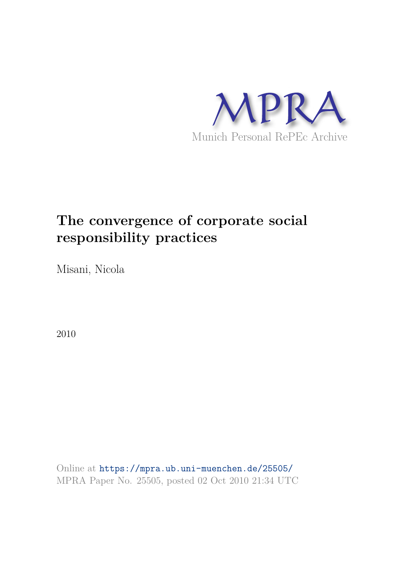

# **The convergence of corporate social responsibility practices**

Misani, Nicola

2010

Online at https://mpra.ub.uni-muenchen.de/25505/ MPRA Paper No. 25505, posted 02 Oct 2010 21:34 UTC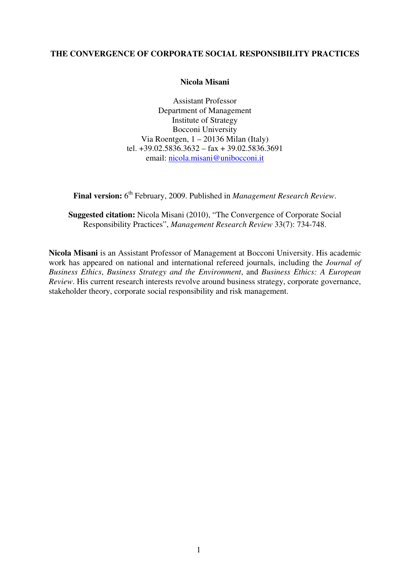# **THE CONVERGENCE OF CORPORATE SOCIAL RESPONSIBILITY PRACTICES**

### **Nicola Misani**

Assistant Professor Department of Management Institute of Strategy Bocconi University Via Roentgen, 1 – 20136 Milan (Italy) tel.  $+39.02.5836.3632 -$ fax  $+39.02.5836.3691$ email: nicola.misani@unibocconi.it

Final version: 6<sup>th</sup> February, 2009. Published in *Management Research Review*.

**Suggested citation:** Nicola Misani (2010), "The Convergence of Corporate Social Responsibility Practices", *Management Research Review* 33(7): 734-748.

**Nicola Misani** is an Assistant Professor of Management at Bocconi University. His academic work has appeared on national and international refereed journals, including the *Journal of Business Ethics*, *Business Strategy and the Environment*, and *Business Ethics: A European Review*. His current research interests revolve around business strategy, corporate governance, stakeholder theory, corporate social responsibility and risk management.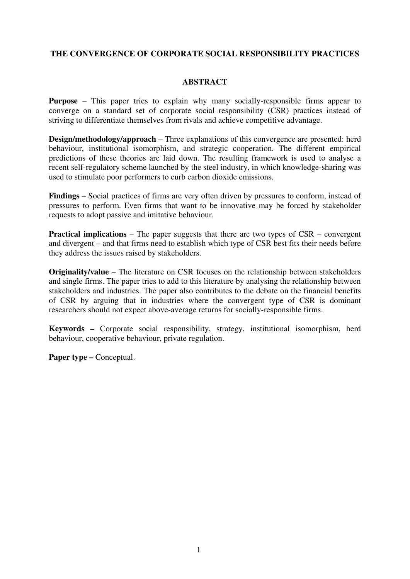# **THE CONVERGENCE OF CORPORATE SOCIAL RESPONSIBILITY PRACTICES**

# **ABSTRACT**

**Purpose** – This paper tries to explain why many socially-responsible firms appear to converge on a standard set of corporate social responsibility (CSR) practices instead of striving to differentiate themselves from rivals and achieve competitive advantage.

**Design/methodology/approach** – Three explanations of this convergence are presented: herd behaviour, institutional isomorphism, and strategic cooperation. The different empirical predictions of these theories are laid down. The resulting framework is used to analyse a recent self-regulatory scheme launched by the steel industry, in which knowledge-sharing was used to stimulate poor performers to curb carbon dioxide emissions.

**Findings** – Social practices of firms are very often driven by pressures to conform, instead of pressures to perform. Even firms that want to be innovative may be forced by stakeholder requests to adopt passive and imitative behaviour.

**Practical implications** – The paper suggests that there are two types of CSR – convergent and divergent – and that firms need to establish which type of CSR best fits their needs before they address the issues raised by stakeholders.

**Originality/value** – The literature on CSR focuses on the relationship between stakeholders and single firms. The paper tries to add to this literature by analysing the relationship between stakeholders and industries. The paper also contributes to the debate on the financial benefits of CSR by arguing that in industries where the convergent type of CSR is dominant researchers should not expect above-average returns for socially-responsible firms.

**Keywords –** Corporate social responsibility, strategy, institutional isomorphism, herd behaviour, cooperative behaviour, private regulation.

**Paper type –** Conceptual.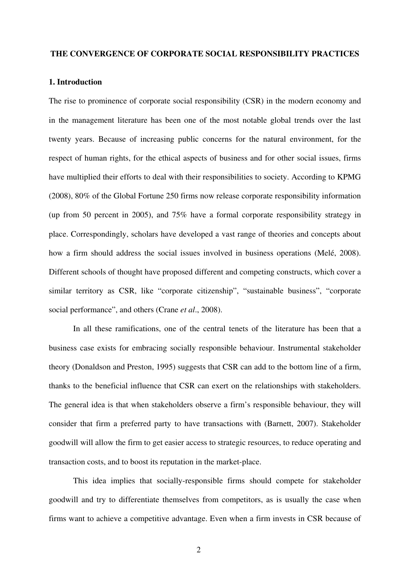#### **THE CONVERGENCE OF CORPORATE SOCIAL RESPONSIBILITY PRACTICES**

# **1. Introduction**

The rise to prominence of corporate social responsibility (CSR) in the modern economy and in the management literature has been one of the most notable global trends over the last twenty years. Because of increasing public concerns for the natural environment, for the respect of human rights, for the ethical aspects of business and for other social issues, firms have multiplied their efforts to deal with their responsibilities to society. According to KPMG (2008), 80% of the Global Fortune 250 firms now release corporate responsibility information (up from 50 percent in 2005), and 75% have a formal corporate responsibility strategy in place. Correspondingly, scholars have developed a vast range of theories and concepts about how a firm should address the social issues involved in business operations (Melé, 2008). Different schools of thought have proposed different and competing constructs, which cover a similar territory as CSR, like "corporate citizenship", "sustainable business", "corporate social performance", and others (Crane *et al*., 2008).

In all these ramifications, one of the central tenets of the literature has been that a business case exists for embracing socially responsible behaviour. Instrumental stakeholder theory (Donaldson and Preston, 1995) suggests that CSR can add to the bottom line of a firm, thanks to the beneficial influence that CSR can exert on the relationships with stakeholders. The general idea is that when stakeholders observe a firm's responsible behaviour, they will consider that firm a preferred party to have transactions with (Barnett, 2007). Stakeholder goodwill will allow the firm to get easier access to strategic resources, to reduce operating and transaction costs, and to boost its reputation in the market-place.

This idea implies that socially-responsible firms should compete for stakeholder goodwill and try to differentiate themselves from competitors, as is usually the case when firms want to achieve a competitive advantage. Even when a firm invests in CSR because of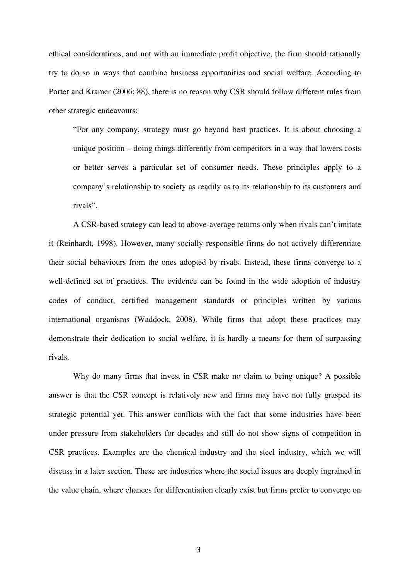ethical considerations, and not with an immediate profit objective, the firm should rationally try to do so in ways that combine business opportunities and social welfare. According to Porter and Kramer (2006: 88), there is no reason why CSR should follow different rules from other strategic endeavours:

 "For any company, strategy must go beyond best practices. It is about choosing a unique position – doing things differently from competitors in a way that lowers costs or better serves a particular set of consumer needs. These principles apply to a company's relationship to society as readily as to its relationship to its customers and rivals".

A CSR-based strategy can lead to above-average returns only when rivals can't imitate it (Reinhardt, 1998). However, many socially responsible firms do not actively differentiate their social behaviours from the ones adopted by rivals. Instead, these firms converge to a well-defined set of practices. The evidence can be found in the wide adoption of industry codes of conduct, certified management standards or principles written by various international organisms (Waddock, 2008). While firms that adopt these practices may demonstrate their dedication to social welfare, it is hardly a means for them of surpassing rivals.

Why do many firms that invest in CSR make no claim to being unique? A possible answer is that the CSR concept is relatively new and firms may have not fully grasped its strategic potential yet. This answer conflicts with the fact that some industries have been under pressure from stakeholders for decades and still do not show signs of competition in CSR practices. Examples are the chemical industry and the steel industry, which we will discuss in a later section. These are industries where the social issues are deeply ingrained in the value chain, where chances for differentiation clearly exist but firms prefer to converge on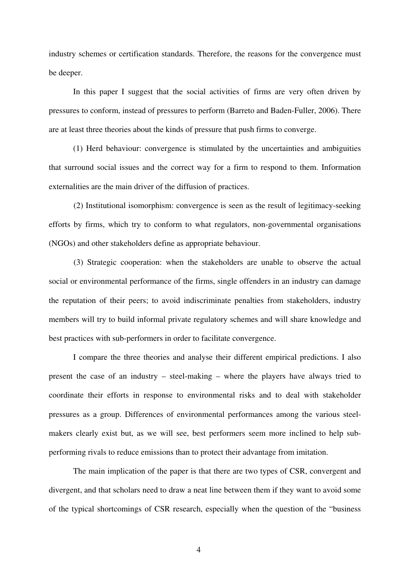industry schemes or certification standards. Therefore, the reasons for the convergence must be deeper.

In this paper I suggest that the social activities of firms are very often driven by pressures to conform, instead of pressures to perform (Barreto and Baden-Fuller, 2006). There are at least three theories about the kinds of pressure that push firms to converge.

(1) Herd behaviour: convergence is stimulated by the uncertainties and ambiguities that surround social issues and the correct way for a firm to respond to them. Information externalities are the main driver of the diffusion of practices.

 (2) Institutional isomorphism: convergence is seen as the result of legitimacy-seeking efforts by firms, which try to conform to what regulators, non-governmental organisations (NGOs) and other stakeholders define as appropriate behaviour.

 (3) Strategic cooperation: when the stakeholders are unable to observe the actual social or environmental performance of the firms, single offenders in an industry can damage the reputation of their peers; to avoid indiscriminate penalties from stakeholders, industry members will try to build informal private regulatory schemes and will share knowledge and best practices with sub-performers in order to facilitate convergence.

I compare the three theories and analyse their different empirical predictions. I also present the case of an industry – steel-making – where the players have always tried to coordinate their efforts in response to environmental risks and to deal with stakeholder pressures as a group. Differences of environmental performances among the various steelmakers clearly exist but, as we will see, best performers seem more inclined to help subperforming rivals to reduce emissions than to protect their advantage from imitation.

The main implication of the paper is that there are two types of CSR, convergent and divergent, and that scholars need to draw a neat line between them if they want to avoid some of the typical shortcomings of CSR research, especially when the question of the "business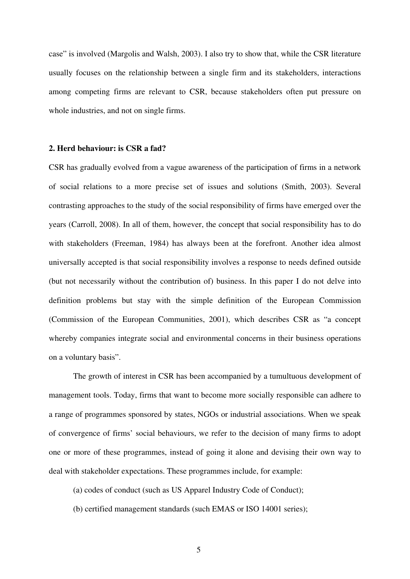case" is involved (Margolis and Walsh, 2003). I also try to show that, while the CSR literature usually focuses on the relationship between a single firm and its stakeholders, interactions among competing firms are relevant to CSR, because stakeholders often put pressure on whole industries, and not on single firms.

#### **2. Herd behaviour: is CSR a fad?**

CSR has gradually evolved from a vague awareness of the participation of firms in a network of social relations to a more precise set of issues and solutions (Smith, 2003). Several contrasting approaches to the study of the social responsibility of firms have emerged over the years (Carroll, 2008). In all of them, however, the concept that social responsibility has to do with stakeholders (Freeman, 1984) has always been at the forefront. Another idea almost universally accepted is that social responsibility involves a response to needs defined outside (but not necessarily without the contribution of) business. In this paper I do not delve into definition problems but stay with the simple definition of the European Commission (Commission of the European Communities, 2001), which describes CSR as "a concept whereby companies integrate social and environmental concerns in their business operations on a voluntary basis".

The growth of interest in CSR has been accompanied by a tumultuous development of management tools. Today, firms that want to become more socially responsible can adhere to a range of programmes sponsored by states, NGOs or industrial associations. When we speak of convergence of firms' social behaviours, we refer to the decision of many firms to adopt one or more of these programmes, instead of going it alone and devising their own way to deal with stakeholder expectations. These programmes include, for example:

- (a) codes of conduct (such as US Apparel Industry Code of Conduct);
- (b) certified management standards (such EMAS or ISO 14001 series);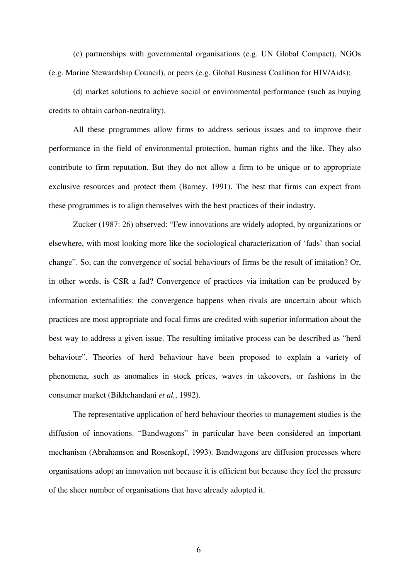(c) partnerships with governmental organisations (e.g. UN Global Compact), NGOs (e.g. Marine Stewardship Council), or peers (e.g. Global Business Coalition for HIV/Aids);

(d) market solutions to achieve social or environmental performance (such as buying credits to obtain carbon-neutrality).

All these programmes allow firms to address serious issues and to improve their performance in the field of environmental protection, human rights and the like. They also contribute to firm reputation. But they do not allow a firm to be unique or to appropriate exclusive resources and protect them (Barney, 1991). The best that firms can expect from these programmes is to align themselves with the best practices of their industry.

Zucker (1987: 26) observed: "Few innovations are widely adopted, by organizations or elsewhere, with most looking more like the sociological characterization of 'fads' than social change". So, can the convergence of social behaviours of firms be the result of imitation? Or, in other words, is CSR a fad? Convergence of practices via imitation can be produced by information externalities: the convergence happens when rivals are uncertain about which practices are most appropriate and focal firms are credited with superior information about the best way to address a given issue. The resulting imitative process can be described as "herd behaviour". Theories of herd behaviour have been proposed to explain a variety of phenomena, such as anomalies in stock prices, waves in takeovers, or fashions in the consumer market (Bikhchandani *et al.*, 1992).

The representative application of herd behaviour theories to management studies is the diffusion of innovations. "Bandwagons" in particular have been considered an important mechanism (Abrahamson and Rosenkopf, 1993). Bandwagons are diffusion processes where organisations adopt an innovation not because it is efficient but because they feel the pressure of the sheer number of organisations that have already adopted it.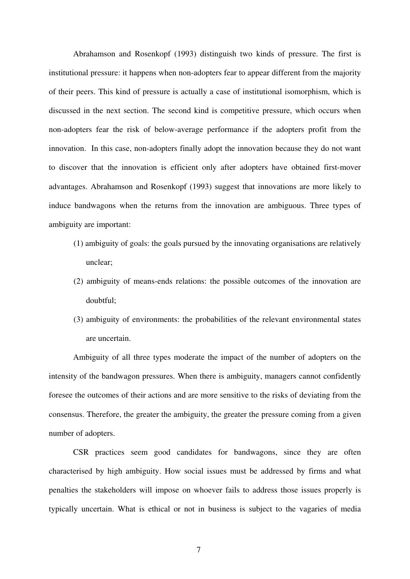Abrahamson and Rosenkopf (1993) distinguish two kinds of pressure. The first is institutional pressure: it happens when non-adopters fear to appear different from the majority of their peers. This kind of pressure is actually a case of institutional isomorphism, which is discussed in the next section. The second kind is competitive pressure, which occurs when non-adopters fear the risk of below-average performance if the adopters profit from the innovation. In this case, non-adopters finally adopt the innovation because they do not want to discover that the innovation is efficient only after adopters have obtained first-mover advantages. Abrahamson and Rosenkopf (1993) suggest that innovations are more likely to induce bandwagons when the returns from the innovation are ambiguous. Three types of ambiguity are important:

- (1) ambiguity of goals: the goals pursued by the innovating organisations are relatively unclear;
- (2) ambiguity of means-ends relations: the possible outcomes of the innovation are doubtful;
- (3) ambiguity of environments: the probabilities of the relevant environmental states are uncertain.

Ambiguity of all three types moderate the impact of the number of adopters on the intensity of the bandwagon pressures. When there is ambiguity, managers cannot confidently foresee the outcomes of their actions and are more sensitive to the risks of deviating from the consensus. Therefore, the greater the ambiguity, the greater the pressure coming from a given number of adopters.

CSR practices seem good candidates for bandwagons, since they are often characterised by high ambiguity. How social issues must be addressed by firms and what penalties the stakeholders will impose on whoever fails to address those issues properly is typically uncertain. What is ethical or not in business is subject to the vagaries of media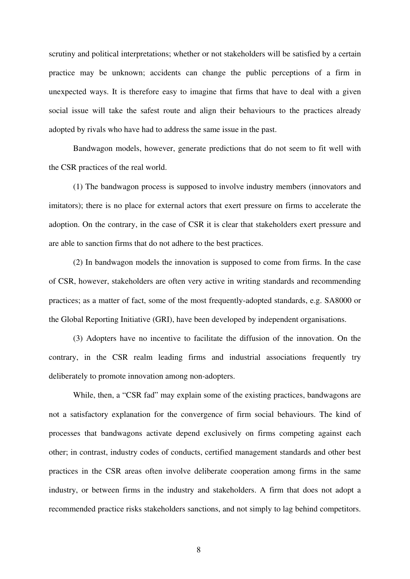scrutiny and political interpretations; whether or not stakeholders will be satisfied by a certain practice may be unknown; accidents can change the public perceptions of a firm in unexpected ways. It is therefore easy to imagine that firms that have to deal with a given social issue will take the safest route and align their behaviours to the practices already adopted by rivals who have had to address the same issue in the past.

Bandwagon models, however, generate predictions that do not seem to fit well with the CSR practices of the real world.

(1) The bandwagon process is supposed to involve industry members (innovators and imitators); there is no place for external actors that exert pressure on firms to accelerate the adoption. On the contrary, in the case of CSR it is clear that stakeholders exert pressure and are able to sanction firms that do not adhere to the best practices.

(2) In bandwagon models the innovation is supposed to come from firms. In the case of CSR, however, stakeholders are often very active in writing standards and recommending practices; as a matter of fact, some of the most frequently-adopted standards, e.g. SA8000 or the Global Reporting Initiative (GRI), have been developed by independent organisations.

(3) Adopters have no incentive to facilitate the diffusion of the innovation. On the contrary, in the CSR realm leading firms and industrial associations frequently try deliberately to promote innovation among non-adopters.

While, then, a "CSR fad" may explain some of the existing practices, bandwagons are not a satisfactory explanation for the convergence of firm social behaviours. The kind of processes that bandwagons activate depend exclusively on firms competing against each other; in contrast, industry codes of conducts, certified management standards and other best practices in the CSR areas often involve deliberate cooperation among firms in the same industry, or between firms in the industry and stakeholders. A firm that does not adopt a recommended practice risks stakeholders sanctions, and not simply to lag behind competitors.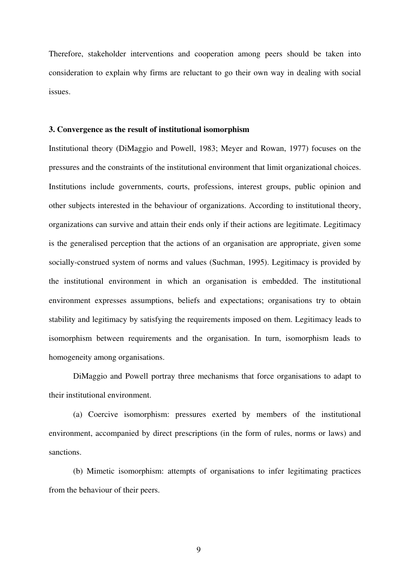Therefore, stakeholder interventions and cooperation among peers should be taken into consideration to explain why firms are reluctant to go their own way in dealing with social issues.

#### **3. Convergence as the result of institutional isomorphism**

Institutional theory (DiMaggio and Powell, 1983; Meyer and Rowan, 1977) focuses on the pressures and the constraints of the institutional environment that limit organizational choices. Institutions include governments, courts, professions, interest groups, public opinion and other subjects interested in the behaviour of organizations. According to institutional theory, organizations can survive and attain their ends only if their actions are legitimate. Legitimacy is the generalised perception that the actions of an organisation are appropriate, given some socially-construed system of norms and values (Suchman, 1995). Legitimacy is provided by the institutional environment in which an organisation is embedded. The institutional environment expresses assumptions, beliefs and expectations; organisations try to obtain stability and legitimacy by satisfying the requirements imposed on them. Legitimacy leads to isomorphism between requirements and the organisation. In turn, isomorphism leads to homogeneity among organisations.

DiMaggio and Powell portray three mechanisms that force organisations to adapt to their institutional environment.

(a) Coercive isomorphism: pressures exerted by members of the institutional environment, accompanied by direct prescriptions (in the form of rules, norms or laws) and sanctions.

(b) Mimetic isomorphism: attempts of organisations to infer legitimating practices from the behaviour of their peers.

9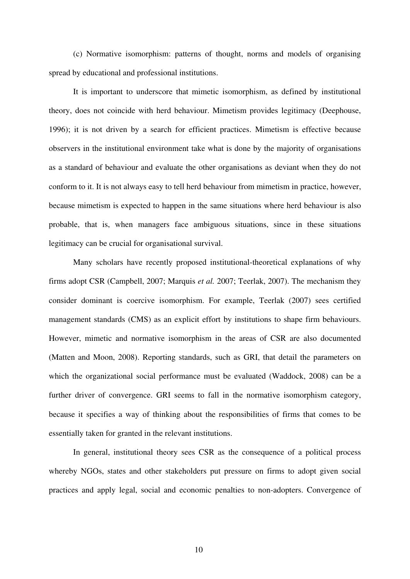(c) Normative isomorphism: patterns of thought, norms and models of organising spread by educational and professional institutions.

It is important to underscore that mimetic isomorphism, as defined by institutional theory, does not coincide with herd behaviour. Mimetism provides legitimacy (Deephouse, 1996); it is not driven by a search for efficient practices. Mimetism is effective because observers in the institutional environment take what is done by the majority of organisations as a standard of behaviour and evaluate the other organisations as deviant when they do not conform to it. It is not always easy to tell herd behaviour from mimetism in practice, however, because mimetism is expected to happen in the same situations where herd behaviour is also probable, that is, when managers face ambiguous situations, since in these situations legitimacy can be crucial for organisational survival.

Many scholars have recently proposed institutional-theoretical explanations of why firms adopt CSR (Campbell, 2007; Marquis *et al.* 2007; Teerlak, 2007). The mechanism they consider dominant is coercive isomorphism. For example, Teerlak (2007) sees certified management standards (CMS) as an explicit effort by institutions to shape firm behaviours. However, mimetic and normative isomorphism in the areas of CSR are also documented (Matten and Moon, 2008). Reporting standards, such as GRI, that detail the parameters on which the organizational social performance must be evaluated (Waddock, 2008) can be a further driver of convergence. GRI seems to fall in the normative isomorphism category, because it specifies a way of thinking about the responsibilities of firms that comes to be essentially taken for granted in the relevant institutions.

In general, institutional theory sees CSR as the consequence of a political process whereby NGOs, states and other stakeholders put pressure on firms to adopt given social practices and apply legal, social and economic penalties to non-adopters. Convergence of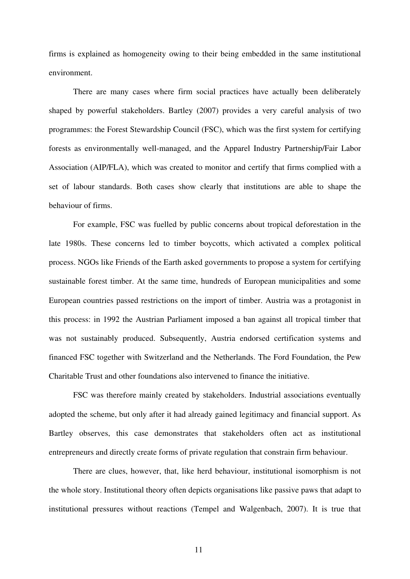firms is explained as homogeneity owing to their being embedded in the same institutional environment.

There are many cases where firm social practices have actually been deliberately shaped by powerful stakeholders. Bartley (2007) provides a very careful analysis of two programmes: the Forest Stewardship Council (FSC), which was the first system for certifying forests as environmentally well-managed, and the Apparel Industry Partnership/Fair Labor Association (AIP/FLA), which was created to monitor and certify that firms complied with a set of labour standards. Both cases show clearly that institutions are able to shape the behaviour of firms.

For example, FSC was fuelled by public concerns about tropical deforestation in the late 1980s. These concerns led to timber boycotts, which activated a complex political process. NGOs like Friends of the Earth asked governments to propose a system for certifying sustainable forest timber. At the same time, hundreds of European municipalities and some European countries passed restrictions on the import of timber. Austria was a protagonist in this process: in 1992 the Austrian Parliament imposed a ban against all tropical timber that was not sustainably produced. Subsequently, Austria endorsed certification systems and financed FSC together with Switzerland and the Netherlands. The Ford Foundation, the Pew Charitable Trust and other foundations also intervened to finance the initiative.

FSC was therefore mainly created by stakeholders. Industrial associations eventually adopted the scheme, but only after it had already gained legitimacy and financial support. As Bartley observes, this case demonstrates that stakeholders often act as institutional entrepreneurs and directly create forms of private regulation that constrain firm behaviour.

There are clues, however, that, like herd behaviour, institutional isomorphism is not the whole story. Institutional theory often depicts organisations like passive paws that adapt to institutional pressures without reactions (Tempel and Walgenbach, 2007). It is true that

11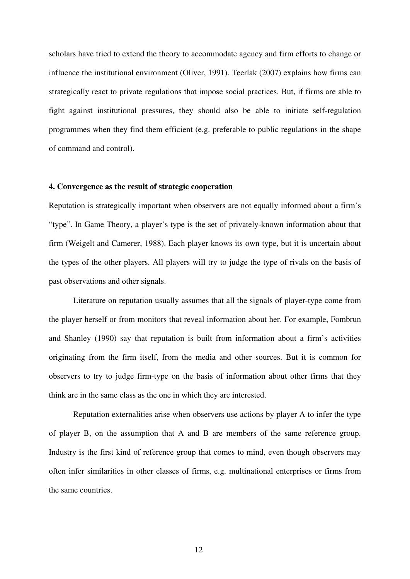scholars have tried to extend the theory to accommodate agency and firm efforts to change or influence the institutional environment (Oliver, 1991). Teerlak (2007) explains how firms can strategically react to private regulations that impose social practices. But, if firms are able to fight against institutional pressures, they should also be able to initiate self-regulation programmes when they find them efficient (e.g. preferable to public regulations in the shape of command and control).

#### **4. Convergence as the result of strategic cooperation**

Reputation is strategically important when observers are not equally informed about a firm's "type". In Game Theory, a player's type is the set of privately-known information about that firm (Weigelt and Camerer, 1988). Each player knows its own type, but it is uncertain about the types of the other players. All players will try to judge the type of rivals on the basis of past observations and other signals.

Literature on reputation usually assumes that all the signals of player-type come from the player herself or from monitors that reveal information about her. For example, Fombrun and Shanley (1990) say that reputation is built from information about a firm's activities originating from the firm itself, from the media and other sources. But it is common for observers to try to judge firm-type on the basis of information about other firms that they think are in the same class as the one in which they are interested.

Reputation externalities arise when observers use actions by player A to infer the type of player B, on the assumption that A and B are members of the same reference group. Industry is the first kind of reference group that comes to mind, even though observers may often infer similarities in other classes of firms, e.g. multinational enterprises or firms from the same countries.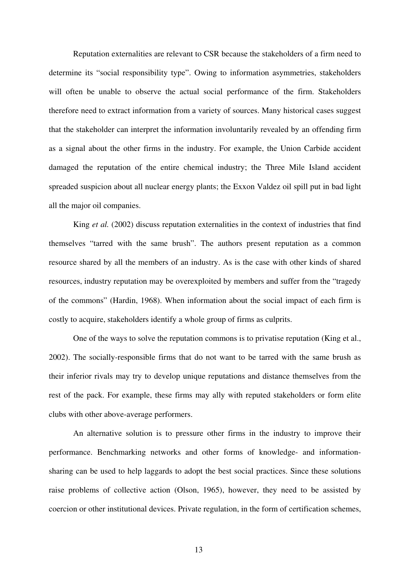Reputation externalities are relevant to CSR because the stakeholders of a firm need to determine its "social responsibility type". Owing to information asymmetries, stakeholders will often be unable to observe the actual social performance of the firm. Stakeholders therefore need to extract information from a variety of sources. Many historical cases suggest that the stakeholder can interpret the information involuntarily revealed by an offending firm as a signal about the other firms in the industry. For example, the Union Carbide accident damaged the reputation of the entire chemical industry; the Three Mile Island accident spreaded suspicion about all nuclear energy plants; the Exxon Valdez oil spill put in bad light all the major oil companies.

King *et al.* (2002) discuss reputation externalities in the context of industries that find themselves "tarred with the same brush". The authors present reputation as a common resource shared by all the members of an industry. As is the case with other kinds of shared resources, industry reputation may be overexploited by members and suffer from the "tragedy of the commons" (Hardin, 1968). When information about the social impact of each firm is costly to acquire, stakeholders identify a whole group of firms as culprits.

One of the ways to solve the reputation commons is to privatise reputation (King et al., 2002). The socially-responsible firms that do not want to be tarred with the same brush as their inferior rivals may try to develop unique reputations and distance themselves from the rest of the pack. For example, these firms may ally with reputed stakeholders or form elite clubs with other above-average performers.

An alternative solution is to pressure other firms in the industry to improve their performance. Benchmarking networks and other forms of knowledge- and informationsharing can be used to help laggards to adopt the best social practices. Since these solutions raise problems of collective action (Olson, 1965), however, they need to be assisted by coercion or other institutional devices. Private regulation, in the form of certification schemes,

13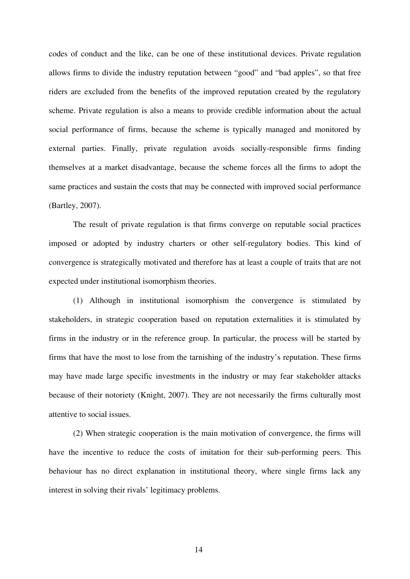codes of conduct and the like, can be one of these institutional devices. Private regulation allows firms to divide the industry reputation between "good" and "bad apples", so that free riders are excluded from the benefits of the improved reputation created by the regulatory scheme. Private regulation is also a means to provide credible information about the actual social performance of firms, because the scheme is typically managed and monitored by external parties. Finally, private regulation avoids socially-responsible firms finding themselves at a market disadvantage, because the scheme forces all the firms to adopt the same practices and sustain the costs that may be connected with improved social performance (Bartley, 2007).

The result of private regulation is that firms converge on reputable social practices imposed or adopted by industry charters or other self-regulatory bodies. This kind of convergence is strategically motivated and therefore has at least a couple of traits that are not expected under institutional isomorphism theories.

(1) Although in institutional isomorphism the convergence is stimulated by stakeholders, in strategic cooperation based on reputation externalities it is stimulated by firms in the industry or in the reference group. In particular, the process will be started by firms that have the most to lose from the tarnishing of the industry's reputation. These firms may have made large specific investments in the industry or may fear stakeholder attacks because of their notoriety (Knight, 2007). They are not necessarily the firms culturally most attentive to social issues.

(2) When strategic cooperation is the main motivation of convergence, the firms will have the incentive to reduce the costs of imitation for their sub-performing peers. This behaviour has no direct explanation in institutional theory, where single firms lack any interest in solving their rivals' legitimacy problems.

14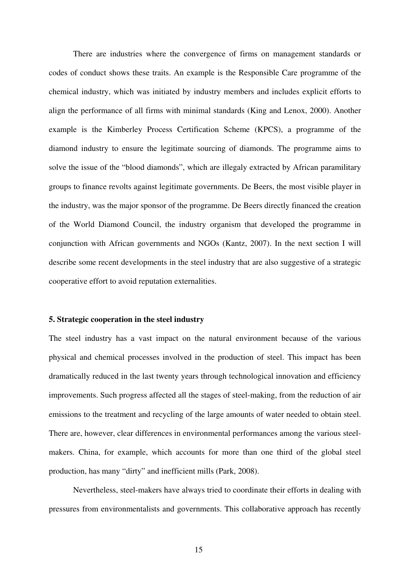There are industries where the convergence of firms on management standards or codes of conduct shows these traits. An example is the Responsible Care programme of the chemical industry, which was initiated by industry members and includes explicit efforts to align the performance of all firms with minimal standards (King and Lenox, 2000). Another example is the Kimberley Process Certification Scheme (KPCS), a programme of the diamond industry to ensure the legitimate sourcing of diamonds. The programme aims to solve the issue of the "blood diamonds", which are illegaly extracted by African paramilitary groups to finance revolts against legitimate governments. De Beers, the most visible player in the industry, was the major sponsor of the programme. De Beers directly financed the creation of the World Diamond Council, the industry organism that developed the programme in conjunction with African governments and NGOs (Kantz, 2007). In the next section I will describe some recent developments in the steel industry that are also suggestive of a strategic cooperative effort to avoid reputation externalities.

# **5. Strategic cooperation in the steel industry**

The steel industry has a vast impact on the natural environment because of the various physical and chemical processes involved in the production of steel. This impact has been dramatically reduced in the last twenty years through technological innovation and efficiency improvements. Such progress affected all the stages of steel-making, from the reduction of air emissions to the treatment and recycling of the large amounts of water needed to obtain steel. There are, however, clear differences in environmental performances among the various steelmakers. China, for example, which accounts for more than one third of the global steel production, has many "dirty" and inefficient mills (Park, 2008).

Nevertheless, steel-makers have always tried to coordinate their efforts in dealing with pressures from environmentalists and governments. This collaborative approach has recently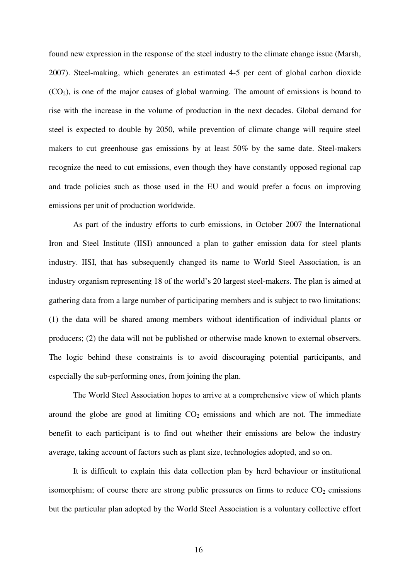found new expression in the response of the steel industry to the climate change issue (Marsh, 2007). Steel-making, which generates an estimated 4-5 per cent of global carbon dioxide  $(CO<sub>2</sub>)$ , is one of the major causes of global warming. The amount of emissions is bound to rise with the increase in the volume of production in the next decades. Global demand for steel is expected to double by 2050, while prevention of climate change will require steel makers to cut greenhouse gas emissions by at least 50% by the same date. Steel-makers recognize the need to cut emissions, even though they have constantly opposed regional cap and trade policies such as those used in the EU and would prefer a focus on improving emissions per unit of production worldwide.

As part of the industry efforts to curb emissions, in October 2007 the International Iron and Steel Institute (IISI) announced a plan to gather emission data for steel plants industry. IISI, that has subsequently changed its name to World Steel Association, is an industry organism representing 18 of the world's 20 largest steel-makers. The plan is aimed at gathering data from a large number of participating members and is subject to two limitations: (1) the data will be shared among members without identification of individual plants or producers; (2) the data will not be published or otherwise made known to external observers. The logic behind these constraints is to avoid discouraging potential participants, and especially the sub-performing ones, from joining the plan.

The World Steel Association hopes to arrive at a comprehensive view of which plants around the globe are good at limiting  $CO<sub>2</sub>$  emissions and which are not. The immediate benefit to each participant is to find out whether their emissions are below the industry average, taking account of factors such as plant size, technologies adopted, and so on.

It is difficult to explain this data collection plan by herd behaviour or institutional isomorphism; of course there are strong public pressures on firms to reduce  $CO<sub>2</sub>$  emissions but the particular plan adopted by the World Steel Association is a voluntary collective effort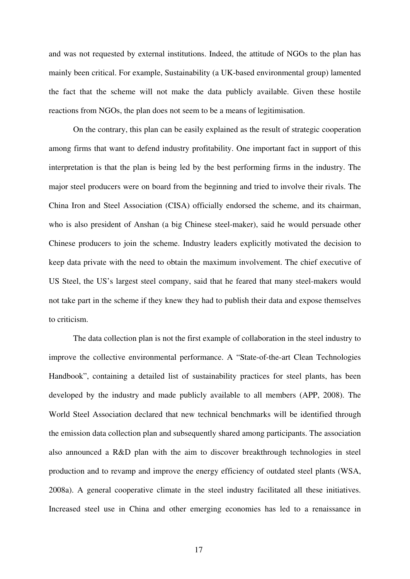and was not requested by external institutions. Indeed, the attitude of NGOs to the plan has mainly been critical. For example, Sustainability (a UK-based environmental group) lamented the fact that the scheme will not make the data publicly available. Given these hostile reactions from NGOs, the plan does not seem to be a means of legitimisation.

On the contrary, this plan can be easily explained as the result of strategic cooperation among firms that want to defend industry profitability. One important fact in support of this interpretation is that the plan is being led by the best performing firms in the industry. The major steel producers were on board from the beginning and tried to involve their rivals. The China Iron and Steel Association (CISA) officially endorsed the scheme, and its chairman, who is also president of Anshan (a big Chinese steel-maker), said he would persuade other Chinese producers to join the scheme. Industry leaders explicitly motivated the decision to keep data private with the need to obtain the maximum involvement. The chief executive of US Steel, the US's largest steel company, said that he feared that many steel-makers would not take part in the scheme if they knew they had to publish their data and expose themselves to criticism.

The data collection plan is not the first example of collaboration in the steel industry to improve the collective environmental performance. A "State-of-the-art Clean Technologies Handbook", containing a detailed list of sustainability practices for steel plants, has been developed by the industry and made publicly available to all members (APP, 2008). The World Steel Association declared that new technical benchmarks will be identified through the emission data collection plan and subsequently shared among participants. The association also announced a R&D plan with the aim to discover breakthrough technologies in steel production and to revamp and improve the energy efficiency of outdated steel plants (WSA, 2008a). A general cooperative climate in the steel industry facilitated all these initiatives. Increased steel use in China and other emerging economies has led to a renaissance in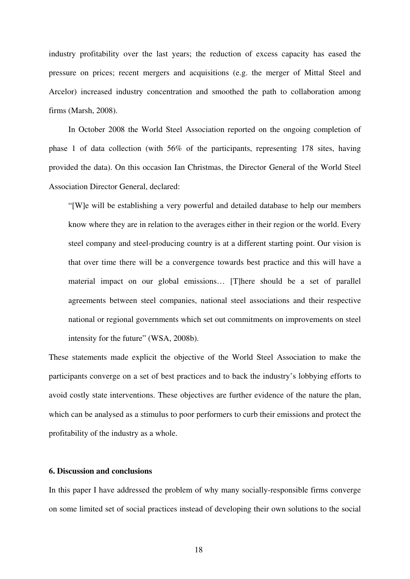industry profitability over the last years; the reduction of excess capacity has eased the pressure on prices; recent mergers and acquisitions (e.g. the merger of Mittal Steel and Arcelor) increased industry concentration and smoothed the path to collaboration among firms (Marsh, 2008).

In October 2008 the World Steel Association reported on the ongoing completion of phase 1 of data collection (with 56% of the participants, representing 178 sites, having provided the data). On this occasion Ian Christmas, the Director General of the World Steel Association Director General, declared:

"[W]e will be establishing a very powerful and detailed database to help our members know where they are in relation to the averages either in their region or the world. Every steel company and steel-producing country is at a different starting point. Our vision is that over time there will be a convergence towards best practice and this will have a material impact on our global emissions… [T]here should be a set of parallel agreements between steel companies, national steel associations and their respective national or regional governments which set out commitments on improvements on steel intensity for the future" (WSA, 2008b).

These statements made explicit the objective of the World Steel Association to make the participants converge on a set of best practices and to back the industry's lobbying efforts to avoid costly state interventions. These objectives are further evidence of the nature the plan, which can be analysed as a stimulus to poor performers to curb their emissions and protect the profitability of the industry as a whole.

#### **6. Discussion and conclusions**

In this paper I have addressed the problem of why many socially-responsible firms converge on some limited set of social practices instead of developing their own solutions to the social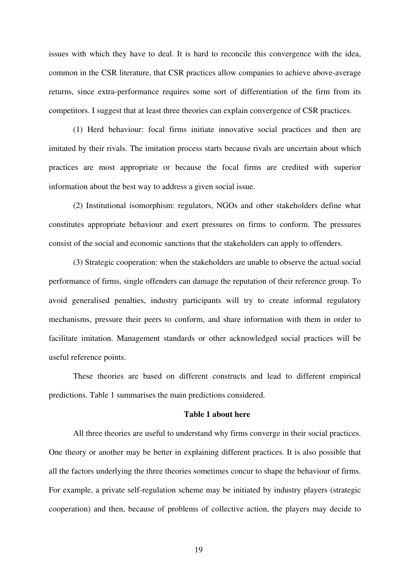issues with which they have to deal. It is hard to reconcile this convergence with the idea, common in the CSR literature, that CSR practices allow companies to achieve above-average returns, since extra-performance requires some sort of differentiation of the firm from its competitors. I suggest that at least three theories can explain convergence of CSR practices.

(1) Herd behaviour: focal firms initiate innovative social practices and then are imitated by their rivals. The imitation process starts because rivals are uncertain about which practices are most appropriate or because the focal firms are credited with superior information about the best way to address a given social issue.

(2) Institutional isomorphism: regulators, NGOs and other stakeholders define what constitutes appropriate behaviour and exert pressures on firms to conform. The pressures consist of the social and economic sanctions that the stakeholders can apply to offenders.

(3) Strategic cooperation: when the stakeholders are unable to observe the actual social performance of firms, single offenders can damage the reputation of their reference group. To avoid generalised penalties, industry participants will try to create informal regulatory mechanisms, pressure their peers to conform, and share information with them in order to facilitate imitation. Management standards or other acknowledged social practices will be useful reference points.

These theories are based on different constructs and lead to different empirical predictions. Table 1 summarises the main predictions considered.

#### **Table 1 about here**

All three theories are useful to understand why firms converge in their social practices. One theory or another may be better in explaining different practices. It is also possible that all the factors underlying the three theories sometimes concur to shape the behaviour of firms. For example, a private self-regulation scheme may be initiated by industry players (strategic cooperation) and then, because of problems of collective action, the players may decide to

19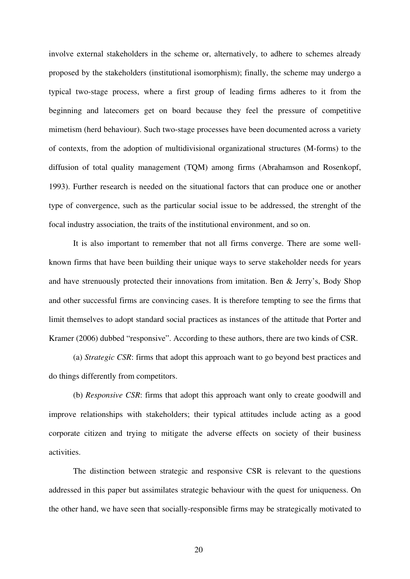involve external stakeholders in the scheme or, alternatively, to adhere to schemes already proposed by the stakeholders (institutional isomorphism); finally, the scheme may undergo a typical two-stage process, where a first group of leading firms adheres to it from the beginning and latecomers get on board because they feel the pressure of competitive mimetism (herd behaviour). Such two-stage processes have been documented across a variety of contexts, from the adoption of multidivisional organizational structures (M-forms) to the diffusion of total quality management (TQM) among firms (Abrahamson and Rosenkopf, 1993). Further research is needed on the situational factors that can produce one or another type of convergence, such as the particular social issue to be addressed, the strenght of the focal industry association, the traits of the institutional environment, and so on.

It is also important to remember that not all firms converge. There are some wellknown firms that have been building their unique ways to serve stakeholder needs for years and have strenuously protected their innovations from imitation. Ben & Jerry's, Body Shop and other successful firms are convincing cases. It is therefore tempting to see the firms that limit themselves to adopt standard social practices as instances of the attitude that Porter and Kramer (2006) dubbed "responsive". According to these authors, there are two kinds of CSR.

(a) *Strategic CSR*: firms that adopt this approach want to go beyond best practices and do things differently from competitors.

(b) *Responsive CSR*: firms that adopt this approach want only to create goodwill and improve relationships with stakeholders; their typical attitudes include acting as a good corporate citizen and trying to mitigate the adverse effects on society of their business activities.

The distinction between strategic and responsive CSR is relevant to the questions addressed in this paper but assimilates strategic behaviour with the quest for uniqueness. On the other hand, we have seen that socially-responsible firms may be strategically motivated to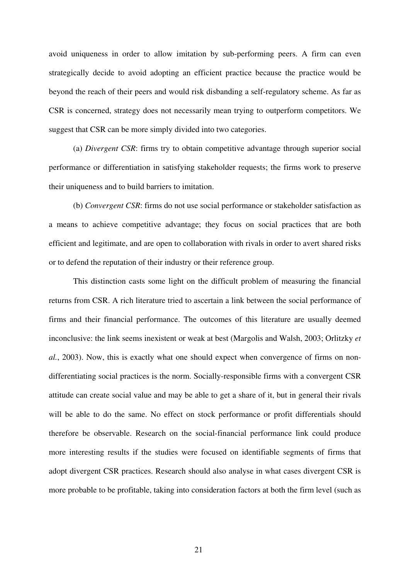avoid uniqueness in order to allow imitation by sub-performing peers. A firm can even strategically decide to avoid adopting an efficient practice because the practice would be beyond the reach of their peers and would risk disbanding a self-regulatory scheme. As far as CSR is concerned, strategy does not necessarily mean trying to outperform competitors. We suggest that CSR can be more simply divided into two categories.

(a) *Divergent CSR*: firms try to obtain competitive advantage through superior social performance or differentiation in satisfying stakeholder requests; the firms work to preserve their uniqueness and to build barriers to imitation.

(b) *Convergent CSR*: firms do not use social performance or stakeholder satisfaction as a means to achieve competitive advantage; they focus on social practices that are both efficient and legitimate, and are open to collaboration with rivals in order to avert shared risks or to defend the reputation of their industry or their reference group.

This distinction casts some light on the difficult problem of measuring the financial returns from CSR. A rich literature tried to ascertain a link between the social performance of firms and their financial performance. The outcomes of this literature are usually deemed inconclusive: the link seems inexistent or weak at best (Margolis and Walsh, 2003; Orlitzky *et al.*, 2003). Now, this is exactly what one should expect when convergence of firms on nondifferentiating social practices is the norm. Socially-responsible firms with a convergent CSR attitude can create social value and may be able to get a share of it, but in general their rivals will be able to do the same. No effect on stock performance or profit differentials should therefore be observable. Research on the social-financial performance link could produce more interesting results if the studies were focused on identifiable segments of firms that adopt divergent CSR practices. Research should also analyse in what cases divergent CSR is more probable to be profitable, taking into consideration factors at both the firm level (such as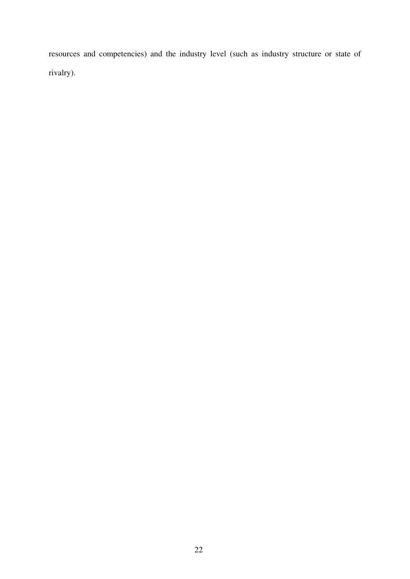resources and competencies) and the industry level (such as industry structure or state of rivalry).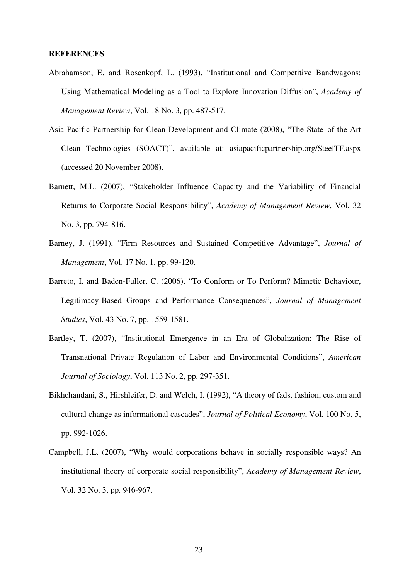#### **REFERENCES**

- Abrahamson, E. and Rosenkopf, L. (1993), "Institutional and Competitive Bandwagons: Using Mathematical Modeling as a Tool to Explore Innovation Diffusion", *Academy of Management Review*, Vol. 18 No. 3, pp. 487-517.
- Asia Pacific Partnership for Clean Development and Climate (2008), "The State–of-the-Art Clean Technologies (SOACT)", available at: asiapacificpartnership.org/SteelTF.aspx (accessed 20 November 2008).
- Barnett, M.L. (2007), "Stakeholder Influence Capacity and the Variability of Financial Returns to Corporate Social Responsibility", *Academy of Management Review*, Vol. 32 No. 3, pp. 794-816.
- Barney, J. (1991), "Firm Resources and Sustained Competitive Advantage", *Journal of Management*, Vol. 17 No. 1, pp. 99-120.
- Barreto, I. and Baden-Fuller, C. (2006), "To Conform or To Perform? Mimetic Behaviour, Legitimacy-Based Groups and Performance Consequences", *Journal of Management Studies*, Vol. 43 No. 7, pp. 1559-1581.
- Bartley, T. (2007), "Institutional Emergence in an Era of Globalization: The Rise of Transnational Private Regulation of Labor and Environmental Conditions", *American Journal of Sociology*, Vol. 113 No. 2, pp. 297-351.
- Bikhchandani, S., Hirshleifer, D. and Welch, I. (1992), "A theory of fads, fashion, custom and cultural change as informational cascades", *Journal of Political Economy*, Vol. 100 No. 5, pp. 992-1026.
- Campbell, J.L. (2007), "Why would corporations behave in socially responsible ways? An institutional theory of corporate social responsibility", *Academy of Management Review*, Vol. 32 No. 3, pp. 946-967.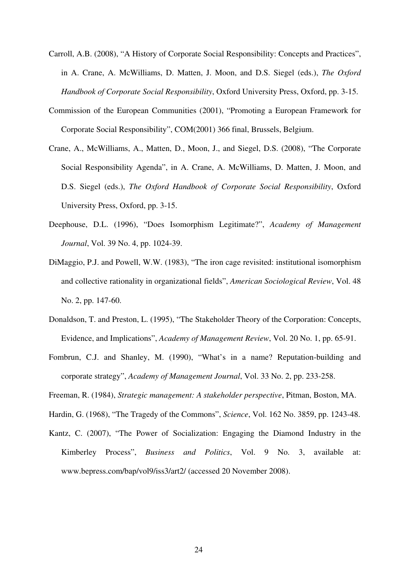- Carroll, A.B. (2008), "A History of Corporate Social Responsibility: Concepts and Practices", in A. Crane, A. McWilliams, D. Matten, J. Moon, and D.S. Siegel (eds.), *The Oxford Handbook of Corporate Social Responsibility*, Oxford University Press, Oxford, pp. 3-15.
- Commission of the European Communities (2001), "Promoting a European Framework for Corporate Social Responsibility", COM(2001) 366 final, Brussels, Belgium.
- Crane, A., McWilliams, A., Matten, D., Moon, J., and Siegel, D.S. (2008), "The Corporate Social Responsibility Agenda", in A. Crane, A. McWilliams, D. Matten, J. Moon, and D.S. Siegel (eds.), *The Oxford Handbook of Corporate Social Responsibility*, Oxford University Press, Oxford, pp. 3-15.
- Deephouse, D.L. (1996), "Does Isomorphism Legitimate?", *Academy of Management Journal*, Vol. 39 No. 4, pp. 1024-39.
- DiMaggio, P.J. and Powell, W.W. (1983), "The iron cage revisited: institutional isomorphism and collective rationality in organizational fields", *American Sociological Review*, Vol. 48 No. 2, pp. 147-60.
- Donaldson, T. and Preston, L. (1995), "The Stakeholder Theory of the Corporation: Concepts, Evidence, and Implications", *Academy of Management Review*, Vol. 20 No. 1, pp. 65-91.
- Fombrun, C.J. and Shanley, M. (1990), "What's in a name? Reputation-building and corporate strategy", *Academy of Management Journal*, Vol. 33 No. 2, pp. 233-258.
- Freeman, R. (1984), *Strategic management: A stakeholder perspective*, Pitman, Boston, MA.

Hardin, G. (1968), "The Tragedy of the Commons", *Science*, Vol. 162 No. 3859, pp. 1243-48.

Kantz, C. (2007), "The Power of Socialization: Engaging the Diamond Industry in the Kimberley Process", *Business and Politics*, Vol. 9 No. 3, available at: www.bepress.com/bap/vol9/iss3/art2/ (accessed 20 November 2008).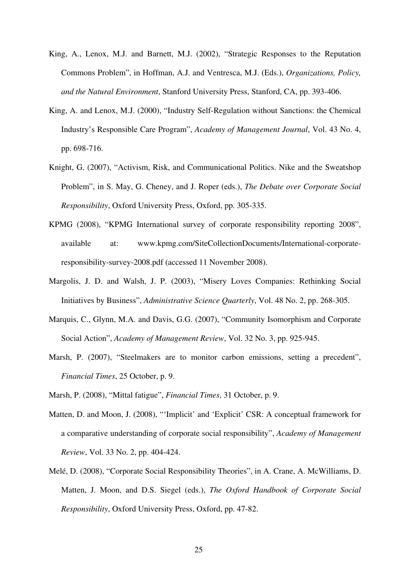- King, A., Lenox, M.J. and Barnett, M.J. (2002), "Strategic Responses to the Reputation Commons Problem", in Hoffman, A.J. and Ventresca, M.J. (Eds.), *Organizations, Policy, and the Natural Environment*, Stanford University Press, Stanford, CA, pp. 393-406.
- King, A. and Lenox, M.J. (2000), "Industry Self-Regulation without Sanctions: the Chemical Industry's Responsible Care Program", *Academy of Management Journal*, Vol. 43 No. 4, pp. 698-716.
- Knight, G. (2007), "Activism, Risk, and Communicational Politics. Nike and the Sweatshop Problem", in S. May, G. Cheney, and J. Roper (eds.), *The Debate over Corporate Social Responsibility*, Oxford University Press, Oxford, pp. 305-335.
- KPMG (2008), "KPMG International survey of corporate responsibility reporting 2008", available at: www.kpmg.com/SiteCollectionDocuments/International-corporateresponsibility-survey-2008.pdf (accessed 11 November 2008).
- Margolis, J. D. and Walsh, J. P. (2003), "Misery Loves Companies: Rethinking Social Initiatives by Business", *Administrative Science Quarterly*, Vol. 48 No. 2, pp. 268-305.
- Marquis, C., Glynn, M.A. and Davis, G.G. (2007), "Community Isomorphism and Corporate Social Action", *Academy of Management Review*, Vol. 32 No. 3, pp. 925-945.
- Marsh, P. (2007), "Steelmakers are to monitor carbon emissions, setting a precedent", *Financial Times*, 25 October, p. 9.
- Marsh, P. (2008), "Mittal fatigue", *Financial Times*, 31 October, p. 9.
- Matten, D. and Moon, J. (2008), "'Implicit' and 'Explicit' CSR: A conceptual framework for a comparative understanding of corporate social responsibility", *Academy of Management Review*, Vol. 33 No. 2, pp. 404-424.
- Melé, D. (2008), "Corporate Social Responsibility Theories", in A. Crane, A. McWilliams, D. Matten, J. Moon, and D.S. Siegel (eds.), *The Oxford Handbook of Corporate Social Responsibility*, Oxford University Press, Oxford, pp. 47-82.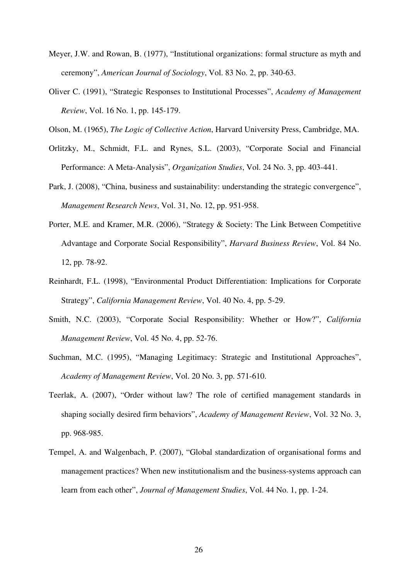- Meyer, J.W. and Rowan, B. (1977), "Institutional organizations: formal structure as myth and ceremony", *American Journal of Sociology*, Vol. 83 No. 2, pp. 340-63.
- Oliver C. (1991), "Strategic Responses to Institutional Processes", *Academy of Management Review*, Vol. 16 No. 1, pp. 145-179.
- Olson, M. (1965), *The Logic of Collective Action*, Harvard University Press, Cambridge, MA.
- Orlitzky, M., Schmidt, F.L. and Rynes, S.L. (2003), "Corporate Social and Financial Performance: A Meta-Analysis", *Organization Studies*, Vol. 24 No. 3, pp. 403-441.
- Park, J. (2008), "China, business and sustainability: understanding the strategic convergence", *Management Research News*, Vol. 31, No. 12, pp. 951-958.
- Porter, M.E. and Kramer, M.R. (2006), "Strategy & Society: The Link Between Competitive Advantage and Corporate Social Responsibility", *Harvard Business Review*, Vol. 84 No. 12, pp. 78-92.
- Reinhardt, F.L. (1998), "Environmental Product Differentiation: Implications for Corporate Strategy", *California Management Review*, Vol. 40 No. 4, pp. 5-29.
- Smith, N.C. (2003), "Corporate Social Responsibility: Whether or How?", *California Management Review*, Vol. 45 No. 4, pp. 52-76.
- Suchman, M.C. (1995), "Managing Legitimacy: Strategic and Institutional Approaches", *Academy of Management Review*, Vol. 20 No. 3, pp. 571-610.
- Teerlak, A. (2007), "Order without law? The role of certified management standards in shaping socially desired firm behaviors", *Academy of Management Review*, Vol. 32 No. 3, pp. 968-985.
- Tempel, A. and Walgenbach, P. (2007), "Global standardization of organisational forms and management practices? When new institutionalism and the business-systems approach can learn from each other", *Journal of Management Studies*, Vol. 44 No. 1, pp. 1-24.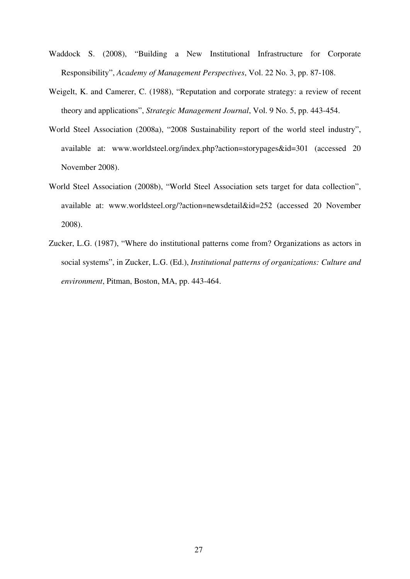- Waddock S. (2008), "Building a New Institutional Infrastructure for Corporate Responsibility", *Academy of Management Perspectives*, Vol. 22 No. 3, pp. 87-108.
- Weigelt, K. and Camerer, C. (1988), "Reputation and corporate strategy: a review of recent theory and applications", *Strategic Management Journal*, Vol. 9 No. 5, pp. 443-454.
- World Steel Association (2008a), "2008 Sustainability report of the world steel industry", available at: www.worldsteel.org/index.php?action=storypages&id=301 (accessed 20 November 2008).
- World Steel Association (2008b), "World Steel Association sets target for data collection", available at: www.worldsteel.org/?action=newsdetail&id=252 (accessed 20 November 2008).
- Zucker, L.G. (1987), "Where do institutional patterns come from? Organizations as actors in social systems", in Zucker, L.G. (Ed.), *Institutional patterns of organizations: Culture and environment*, Pitman, Boston, MA, pp. 443-464.